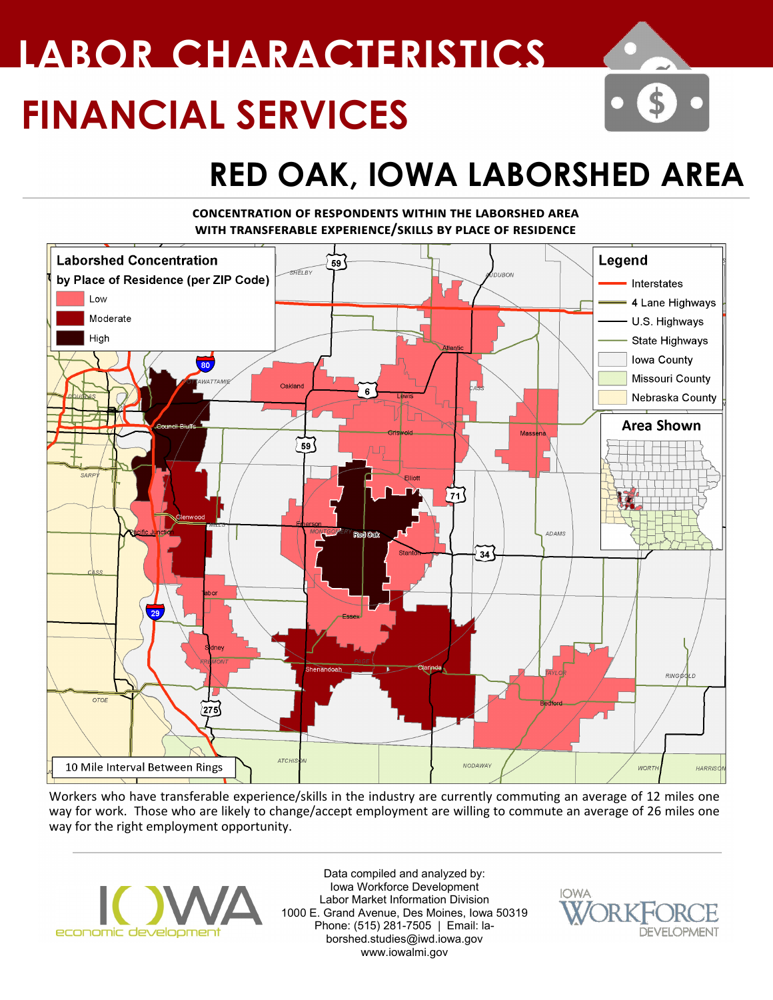# **FINANCIAL SERVICES LABOR CHARACTERISTICS**

## **RED OAK, IOWA LABORSHED AREA**

#### **concentration of respondents within the laborshed area with transferable experience/skills by place of residence**



Workers who have transferable experience/skills in the industry are currently commuting an average of 12 miles one way for work. Those who are likely to change/accept employment are willing to commute an average of 26 miles one way for the right employment opportunity.



Data compiled and analyzed by: Iowa Workforce Development Labor Market Information Division 1000 E. Grand Avenue, Des Moines, Iowa 50319 Phone: (515) 281-7505 | Email: laborshed.studies@iwd.iowa.gov www.iowalmi.gov

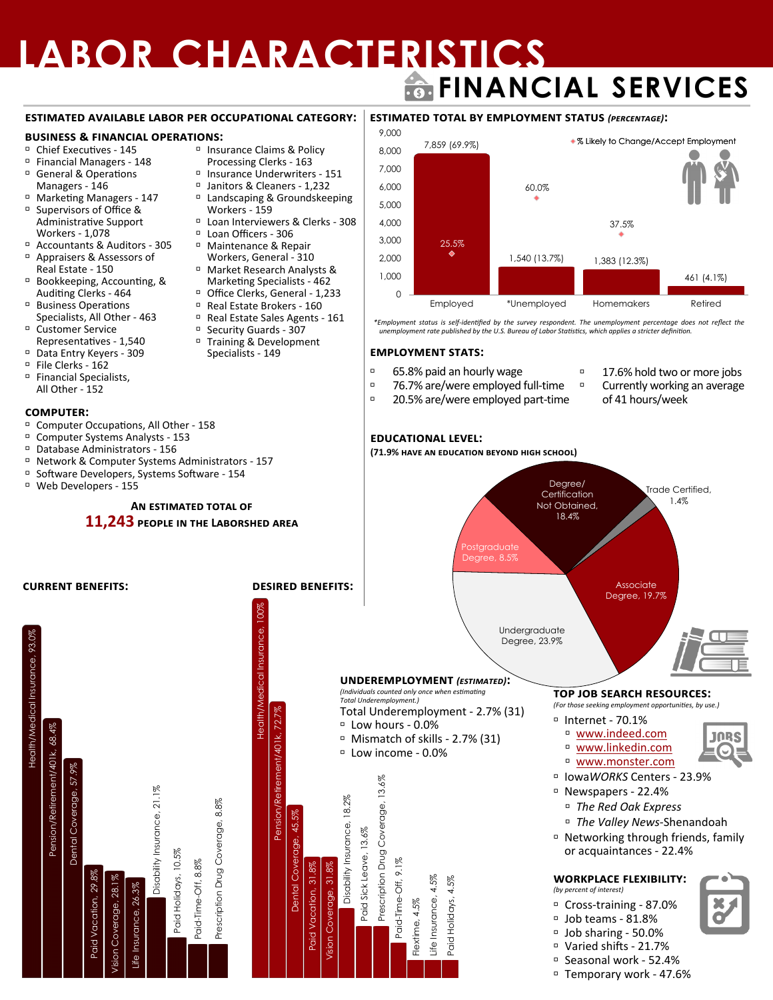### **LABOR CHARACTERISTICS FINANCIAL SERVICES**

#### **estimated available labor per occupational category:**

#### **business & financial operations:**

- Chief Executives 145
- <sup>D</sup> Financial Managers 148
- General & Operations Managers - 146
- Marketing Managers 147 □ Supervisors of Office & Administrative Support
	- Workers 1,078
- Accountants & Auditors 305 Appraisers & Assessors of
- Real Estate 150
- Bookkeeping, Accounting, & Auditing Clerks - 464
- Business Operations Specialists, All Other - 463
- Customer Service Representatives - 1,540
- Data Entry Keyers 309
- $P$  File Clerks 162
- □ Financial Specialists, All Other - 152

#### **computer:**

Health/Medical Insurance, 93.0%

Health/Medical Insurance, 93.0%

Pension/Retirement/401k, 68.4%

Pension/Retirement/401k, 68.4%

Dental Coverage, 57.9%

Dental Coverage, 57.9%

Paid Vacation, 29.8%<br>on Coverage, 28.1% Vision Coverage, 28.1%

fision

Insurance, 26.3%<br>Disability Insurance,

Disability Insurance, 21.1%

, 21.1%

Paid Holidays, 10.5% Paid-Time-Off, 8.8% Prescription Drug Coverage, 8.8%

Prescription Drug Coverage, 8.8%

- Computer Occupations, All Other 158
- Computer Systems Analysts 153
- Database Administrators 156
- □ Network & Computer Systems Administrators 157
- Software Developers, Systems Software 154
- Web Developers 155

### <sup>D</sup> Insurance Claims & Policy

- Processing Clerks 163
- Insurance Underwriters 151
- Janitors & Cleaners 1,232 <sup>D</sup> Landscaping & Groundskeeping
- Workers 159 <sup>In</sup> Loan Interviewers & Clerks - 308
- Loan Officers 306 Maintenance & Repair
- Workers, General 310 Market Research Analysts &
- Marketing Specialists 462 <sup>D</sup> Office Clerks, General - 1,233
- **B** Real Estate Brokers 160<br>**B** Real Estate Sales Agents -
- Real Estate Sales Agents 161

Health/Medical Insurance, 100%

Health/Medical Insurance,

 $100%$ 

Pension/Retirement/401k, 72.7%

Pension/Retirement/

401k, 72.

Dental Coverage, 45.5%

Dental Coverage,

45.5%

Paid Vacation, 31.8%<br>sion Coverage, 31.8% Vision Coverage, 31.8%

Disability Insurance, 18.2%

Disability Insurance, 18.2%

Paid Sick Leave, 13.6%

Prescription Drug

Paid Sick Leave, 13.6%

Paid-Time-Off, 9.1%

Flextime, 4.5% Life Insurance, 4.5% Paid Holidays, 4.5%

- □ Security Guards 307 Training & Development
- Specialists 149



\*Employment status is self-identified by the survey respondent. The unemployment percentage does not reflect the<br>unemployment rate published by the U.S. Bureau of Labor Statistics, which applies a stricter definition.

#### **employment stats:**

- 65.8% paid an hourly wage
- 76.7% are/were employed full-time
- <sup>1</sup> 20.5% are/were employed part-time
- <sup>1</sup> 17.6% hold two or more jobs
- Currently working an average of 41 hours/week

#### **educational level:**

**(71.9% have an education beyond high school)**



- Newspapers 22.4%
	- *The Red Oak Express*
	- *The Valley News-*Shenandoah
- Networking through friends, family or acquaintances - 22.4%

#### **workplace flexibility:**

- *(by percent of interest)*
- Cross-training 87.0%
- Job teams 81.8%
- Job sharing 50.0%
- Varied shifts 21.7%
- Seasonal work 52.4%
- Temporary work 47.6%
	-

**An estimated total of 11,243 people in the Laborshed area**

**current benefits: desired benefits:**